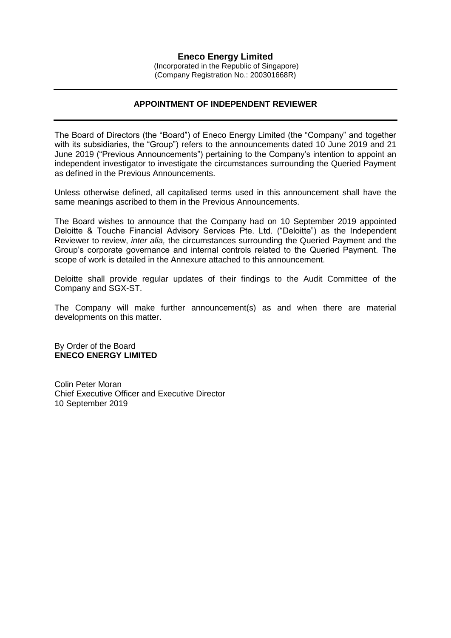**Eneco Energy Limited** (Incorporated in the Republic of Singapore) (Company Registration No.: 200301668R)

# **APPOINTMENT OF INDEPENDENT REVIEWER**

The Board of Directors (the "Board") of Eneco Energy Limited (the "Company" and together with its subsidiaries, the "Group") refers to the announcements dated 10 June 2019 and 21 June 2019 ("Previous Announcements") pertaining to the Company's intention to appoint an independent investigator to investigate the circumstances surrounding the Queried Payment as defined in the Previous Announcements.

Unless otherwise defined, all capitalised terms used in this announcement shall have the same meanings ascribed to them in the Previous Announcements.

The Board wishes to announce that the Company had on 10 September 2019 appointed Deloitte & Touche Financial Advisory Services Pte. Ltd. ("Deloitte") as the Independent Reviewer to review, *inter alia,* the circumstances surrounding the Queried Payment and the Group's corporate governance and internal controls related to the Queried Payment. The scope of work is detailed in the Annexure attached to this announcement.

Deloitte shall provide regular updates of their findings to the Audit Committee of the Company and SGX-ST.

The Company will make further announcement(s) as and when there are material developments on this matter.

By Order of the Board **ENECO ENERGY LIMITED**

Colin Peter Moran Chief Executive Officer and Executive Director 10 September 2019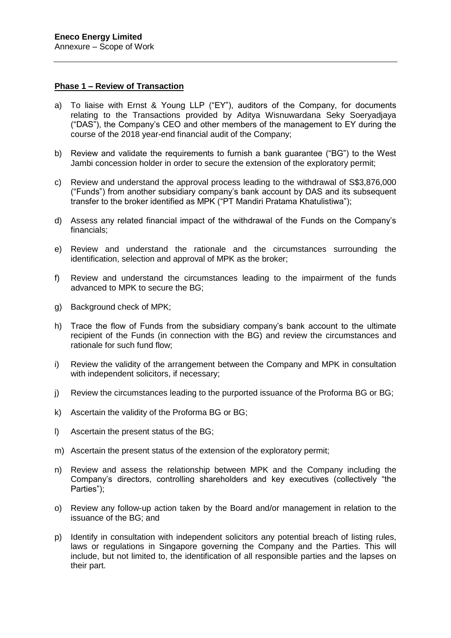#### **Phase 1 – Review of Transaction**

- a) To liaise with Ernst & Young LLP ("EY"), auditors of the Company, for documents relating to the Transactions provided by Aditya Wisnuwardana Seky Soeryadjaya ("DAS"), the Company's CEO and other members of the management to EY during the course of the 2018 year-end financial audit of the Company;
- b) Review and validate the requirements to furnish a bank guarantee ("BG") to the West Jambi concession holder in order to secure the extension of the exploratory permit;
- c) Review and understand the approval process leading to the withdrawal of S\$3,876,000 ("Funds") from another subsidiary company's bank account by DAS and its subsequent transfer to the broker identified as MPK ("PT Mandiri Pratama Khatulistiwa");
- d) Assess any related financial impact of the withdrawal of the Funds on the Company's financials;
- e) Review and understand the rationale and the circumstances surrounding the identification, selection and approval of MPK as the broker;
- f) Review and understand the circumstances leading to the impairment of the funds advanced to MPK to secure the BG;
- g) Background check of MPK;
- h) Trace the flow of Funds from the subsidiary company's bank account to the ultimate recipient of the Funds (in connection with the BG) and review the circumstances and rationale for such fund flow;
- i) Review the validity of the arrangement between the Company and MPK in consultation with independent solicitors, if necessary;
- j) Review the circumstances leading to the purported issuance of the Proforma BG or BG;
- k) Ascertain the validity of the Proforma BG or BG;
- l) Ascertain the present status of the BG;
- m) Ascertain the present status of the extension of the exploratory permit;
- n) Review and assess the relationship between MPK and the Company including the Company's directors, controlling shareholders and key executives (collectively "the Parties");
- o) Review any follow-up action taken by the Board and/or management in relation to the issuance of the BG; and
- p) Identify in consultation with independent solicitors any potential breach of listing rules, laws or regulations in Singapore governing the Company and the Parties. This will include, but not limited to, the identification of all responsible parties and the lapses on their part.